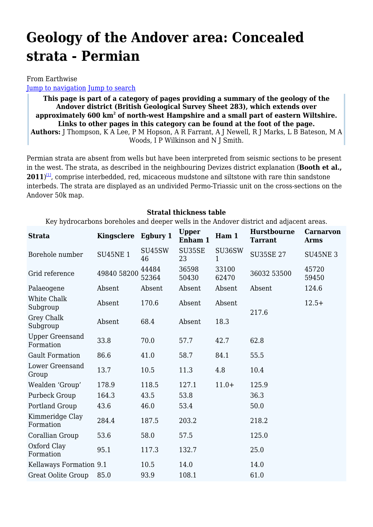# **Geology of the Andover area: Concealed strata - Permian**

#### From Earthwise

[Jump to navigation](#page--1-0) [Jump to search](#page--1-0)

**This page is part of a category of pages providing a summary of the geology of the Andover district (British Geological Survey Sheet 283), which extends over approximately 600 km<sup>2</sup> of north-west Hampshire and a small part of eastern Wiltshire. Links to other pages in this category can be found at the foot of the page. Authors:** J Thompson, K A Lee, P M Hopson, A R Farrant, A J Newell, R J Marks, L B Bateson, M A Woods, I P Wilkinson and N J Smith.

Permian strata are absent from wells but have been interpreted from seismic sections to be present in the west. The strata, as described in the neighbouring Devizes district explanation (**Booth et al., 2011**) [\[1\]](#page--1-0), comprise interbedded, red, micaceous mudstone and siltstone with rare thin sandstone interbeds. The strata are displayed as an undivided Permo-Triassic unit on the cross-sections on the Andover 50k map.

#### **Stratal thickness table**

Key hydrocarbons boreholes and deeper wells in the Andover district and adjacent areas.

| <b>Strata</b>                       | Kingsclere     | Egbury 1       | <b>Upper</b><br>Enham 1 | Ham 1          | <b>Hurstbourne</b><br><b>Tarrant</b> | <b>Carnarvon</b><br><b>Arms</b> |
|-------------------------------------|----------------|----------------|-------------------------|----------------|--------------------------------------|---------------------------------|
| Borehole number                     | <b>SU45NE1</b> | SU45SW<br>46   | SU35SE<br>23            | SU36SW<br>1    | <b>SU35SE 27</b>                     | <b>SU45NE 3</b>                 |
| Grid reference                      | 49840 58200    | 44484<br>52364 | 36598<br>50430          | 33100<br>62470 | 36032 53500                          | 45720<br>59450                  |
| Palaeogene                          | Absent         | Absent         | Absent                  | Absent         | Absent                               | 124.6                           |
| White Chalk<br>Subgroup             | Absent         | 170.6          | Absent                  | Absent         | $12.5+$<br>217.6                     |                                 |
| Grey Chalk<br>Subgroup              | Absent         | 68.4           | Absent                  | 18.3           |                                      |                                 |
| <b>Upper Greensand</b><br>Formation | 33.8           | 70.0           | 57.7                    | 42.7           | 62.8                                 |                                 |
| <b>Gault Formation</b>              | 86.6           | 41.0           | 58.7                    | 84.1           | 55.5                                 |                                 |
| Lower Greensand<br>Group            | 13.7           | 10.5           | 11.3                    | 4.8            | 10.4                                 |                                 |
| Wealden 'Group'                     | 178.9          | 118.5          | 127.1                   | $11.0+$        | 125.9                                |                                 |
| Purbeck Group                       | 164.3          | 43.5           | 53.8                    |                | 36.3                                 |                                 |
| Portland Group                      | 43.6           | 46.0           | 53.4                    |                | 50.0                                 |                                 |
| Kimmeridge Clay<br>Formation        | 284.4          | 187.5          | 203.2                   |                | 218.2                                |                                 |
| Corallian Group                     | 53.6           | 58.0           | 57.5                    |                | 125.0                                |                                 |
| Oxford Clay<br>Formation            | 95.1           | 117.3          | 132.7                   |                | 25.0                                 |                                 |
| Kellaways Formation 9.1             |                | 10.5           | 14.0                    |                | 14.0                                 |                                 |
| Great Oolite Group                  | 85.0           | 93.9           | 108.1                   |                | 61.0                                 |                                 |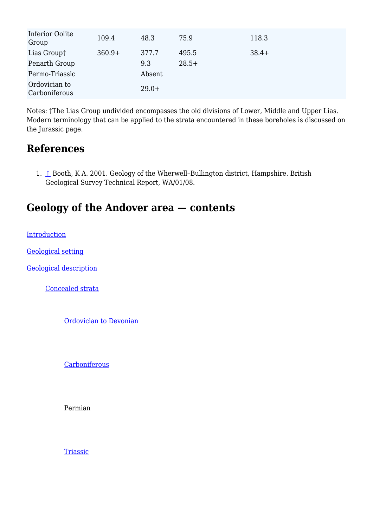| Inferior Oolite<br>Group       | 109.4    | 48.3    | 75.9    | 118.3   |
|--------------------------------|----------|---------|---------|---------|
| Lias Group†                    | $360.9+$ | 377.7   | 495.5   | $38.4+$ |
| Penarth Group                  |          | 9.3     | $28.5+$ |         |
| Permo-Triassic                 |          | Absent  |         |         |
| Ordovician to<br>Carboniferous |          | $29.0+$ |         |         |

Notes: †The Lias Group undivided encompasses the old divisions of Lower, Middle and Upper Lias. Modern terminology that can be applied to the strata encountered in these boreholes is discussed on the Jurassic page.

## **References**

1. [↑](#page--1-0) Booth, K A. 2001. Geology of the Wherwell-Bullington district, Hampshire. British Geological Survey Technical Report, WA/01/08.

# **Geology of the Andover area — contents**

**[Introduction](http://earthwise.bgs.ac.uk/index.php/Geology_of_the_Andover_area:_Introduction)** 

[Geological setting](http://earthwise.bgs.ac.uk/index.php/Geology_of_the_Andover_area:_Geological_setting)

[Geological description](http://earthwise.bgs.ac.uk/index.php/Geology_of_the_Andover_area:_Concealed_strata)

[Concealed strata](http://earthwise.bgs.ac.uk/index.php/Geology_of_the_Andover_area:_Concealed_strata)

[Ordovician to Devonian](http://earthwise.bgs.ac.uk/index.php/Geology_of_the_Andover_area:_Concealed_strata_-_Ordovician_to_Devonian)

**[Carboniferous](http://earthwise.bgs.ac.uk/index.php/Geology_of_the_Andover_area:_Concealed_strata_-_Carboniferous)** 

Permian

**[Triassic](http://earthwise.bgs.ac.uk/index.php/Geology_of_the_Andover_area:_Concealed_strata_-_Triassic)**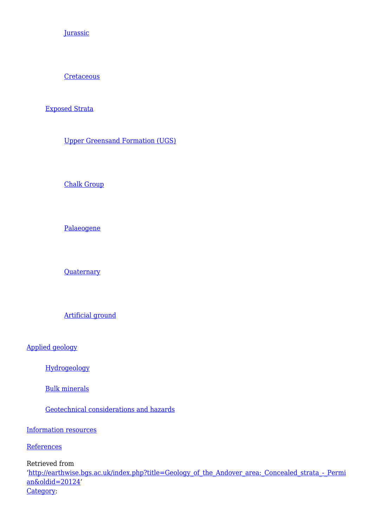**[Jurassic](http://earthwise.bgs.ac.uk/index.php/Geology_of_the_Andover_area:_Concealed_strata_-_Jurassic)** 

**[Cretaceous](http://earthwise.bgs.ac.uk/index.php/Geology_of_the_Andover_area:_Concealed_strata_-_Cretaceous)** 

#### [Exposed Strata](http://earthwise.bgs.ac.uk/index.php/Geology_of_the_Andover_area:_Exposed_strata_-_Upper_Greensand_Formation)

[Upper Greensand Formation \(UGS\)](http://earthwise.bgs.ac.uk/index.php/Geology_of_the_Andover_area:_Exposed_strata_-_Upper_Greensand_Formation)

[Chalk Group](http://earthwise.bgs.ac.uk/index.php/Geology_of_the_Andover_area:_Exposed_strata_-_Chalk_Group)

[Palaeogene](http://earthwise.bgs.ac.uk/index.php/Geology_of_the_Andover_area:_Exposed_strata_-_Palaeogene)

**[Quaternary](http://earthwise.bgs.ac.uk/index.php/Geology_of_the_Andover_area:_Exposed_strata_-_Quaternary)** 

[Artificial ground](http://earthwise.bgs.ac.uk/index.php/Geology_of_the_Andover_area:_Exposed_strata_-_Artificial_ground)

[Applied geology](http://earthwise.bgs.ac.uk/index.php/Geology_of_the_Andover_area:_Applied_geology_-_Hydrogeology)

[Hydrogeology](http://earthwise.bgs.ac.uk/index.php/Geology_of_the_Andover_area:_Applied_geology_-_Hydrogeology)

[Bulk minerals](http://earthwise.bgs.ac.uk/index.php/Geology_of_the_Andover_area:_Applied_geology_-_Bulk_minerals)

[Geotechnical considerations and hazards](http://earthwise.bgs.ac.uk/index.php/Geology_of_the_Andover_area:_Applied_geology_-_Geotechnical_considerations_and_hazards)

[Information resources](http://earthwise.bgs.ac.uk/index.php/Geology_of_the_Andover_area:_Information_resources)

**[References](http://earthwise.bgs.ac.uk/index.php/Geology_of_the_Andover_area:_References)** 

Retrieved from

'[http://earthwise.bgs.ac.uk/index.php?title=Geology\\_of\\_the\\_Andover\\_area:\\_Concealed\\_strata\\_-\\_Permi](http://earthwise.bgs.ac.uk/index.php?title=Geology_of_the_Andover_area:_Concealed_strata_-_Permian&oldid=20124) [an&oldid=20124](http://earthwise.bgs.ac.uk/index.php?title=Geology_of_the_Andover_area:_Concealed_strata_-_Permian&oldid=20124)' [Category](http://earthwise.bgs.ac.uk/index.php/Special:Categories):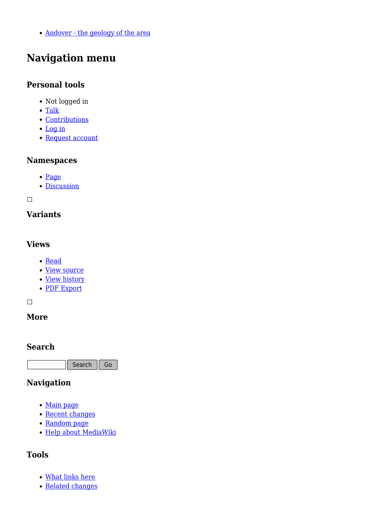[Andover - the geology of the area](http://earthwise.bgs.ac.uk/index.php/Category:Andover_-_the_geology_of_the_area)

# **Navigation menu**

#### **Personal tools**

- Not logged in
- [Talk](http://earthwise.bgs.ac.uk/index.php/Special:MyTalk)
- [Contributions](http://earthwise.bgs.ac.uk/index.php/Special:MyContributions)
- [Log in](http://earthwise.bgs.ac.uk/index.php?title=Special:UserLogin&returnto=Geology+of+the+Andover+area%3A+Concealed+strata+-+Permian&returntoquery=action%3Dmpdf)
- [Request account](http://earthwise.bgs.ac.uk/index.php/Special:RequestAccount)

#### **Namespaces**

- [Page](http://earthwise.bgs.ac.uk/index.php/Geology_of_the_Andover_area:_Concealed_strata_-_Permian)
- [Discussion](http://earthwise.bgs.ac.uk/index.php?title=Talk:Geology_of_the_Andover_area:_Concealed_strata_-_Permian&action=edit&redlink=1)

 $\overline{\phantom{a}}$ 

## **Variants**

#### **Views**

- [Read](http://earthwise.bgs.ac.uk/index.php/Geology_of_the_Andover_area:_Concealed_strata_-_Permian)
- [View source](http://earthwise.bgs.ac.uk/index.php?title=Geology_of_the_Andover_area:_Concealed_strata_-_Permian&action=edit)
- [View history](http://earthwise.bgs.ac.uk/index.php?title=Geology_of_the_Andover_area:_Concealed_strata_-_Permian&action=history)
- [PDF Export](http://earthwise.bgs.ac.uk/index.php?title=Geology_of_the_Andover_area:_Concealed_strata_-_Permian&action=mpdf)

 $\Box$ 

## **More**

#### **Search**

Search  $\|$  Go

### **Navigation**

- [Main page](http://earthwise.bgs.ac.uk/index.php/Main_Page)
- [Recent changes](http://earthwise.bgs.ac.uk/index.php/Special:RecentChanges)
- [Random page](http://earthwise.bgs.ac.uk/index.php/Special:Random)
- [Help about MediaWiki](https://www.mediawiki.org/wiki/Special:MyLanguage/Help:Contents)

### **Tools**

- [What links here](http://earthwise.bgs.ac.uk/index.php/Special:WhatLinksHere/Geology_of_the_Andover_area:_Concealed_strata_-_Permian)
- [Related changes](http://earthwise.bgs.ac.uk/index.php/Special:RecentChangesLinked/Geology_of_the_Andover_area:_Concealed_strata_-_Permian)